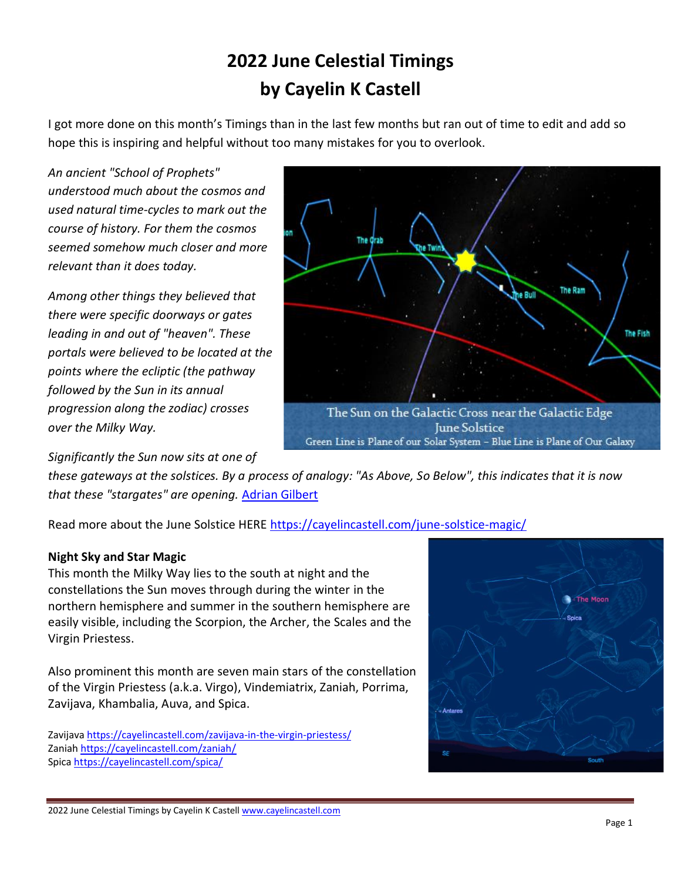# **2022 June Celestial Timings by Cayelin K Castell**

I got more done on this month's Timings than in the last few months but ran out of time to edit and add so hope this is inspiring and helpful without too many mistakes for you to overlook.

*An ancient "School of Prophets" understood much about the cosmos and used natural time-cycles to mark out the course of history. For them the cosmos seemed somehow much closer and more relevant than it does today.* 

*Among other things they believed that there were specific doorways or gates leading in and out of "heaven". These portals were believed to be located at the points where the ecliptic (the pathway followed by the Sun in its annual progression along the zodiac) crosses over the Milky Way.* 



*Significantly the Sun now sits at one of* 

*these gateways at the solstices. By a process of analogy: "As Above, So Below", this indicates that it is now that these "stargates" are opening.* [Adrian Gilbert](http://www.amazon.com/Adrian-Gilbert/e/B001H6GU3C)

Read more about the June Solstice HERE<https://cayelincastell.com/june-solstice-magic/>

### **Night Sky and Star Magic**

This month the Milky Way lies to the south at night and the constellations the Sun moves through during the winter in the northern hemisphere and summer in the southern hemisphere are easily visible, including the Scorpion, the Archer, the Scales and the Virgin Priestess.

Also prominent this month are seven main stars of the constellation of the Virgin Priestess (a.k.a. Virgo), Vindemiatrix, Zaniah, Porrima, Zavijava, Khambalia, Auva, and Spica.

Zavijav[a https://cayelincastell.com/zavijava-in-the-virgin-priestess/](https://cayelincastell.com/zavijava-in-the-virgin-priestess/) Zania[h https://cayelincastell.com/zaniah/](https://cayelincastell.com/zaniah/) Spic[a https://cayelincastell.com/spica/](https://cayelincastell.com/spica/) 

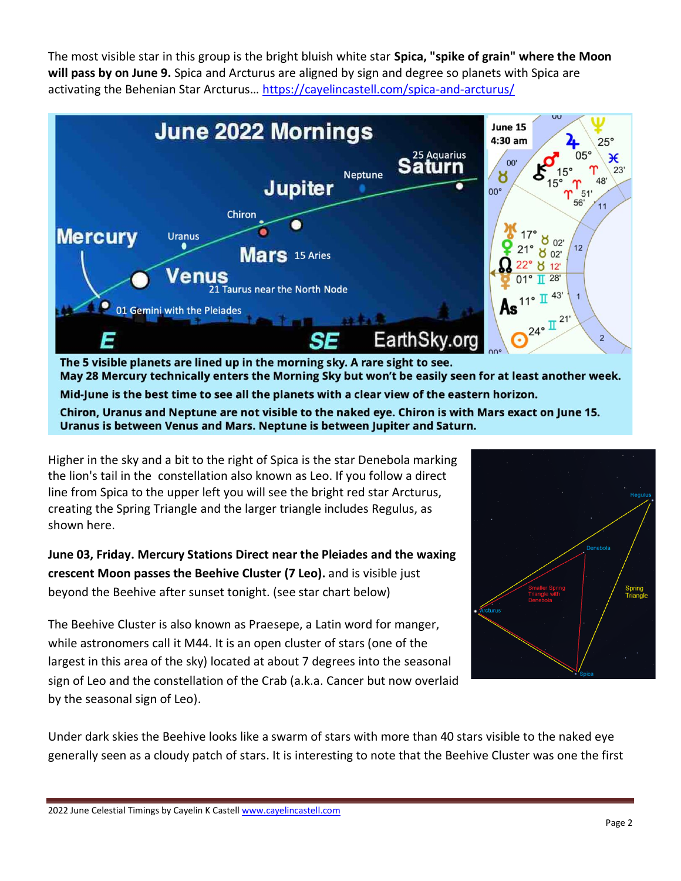The most visible star in this group is the bright bluish white star **Spica, "spike of grain" where the Moon will pass by on June 9.** Spica and Arcturus are aligned by sign and degree so planets with Spica are activating the Behenian Star Arcturus… <https://cayelincastell.com/spica-and-arcturus/>



May 28 Mercury technically enters the Morning Sky but won't be easily seen for at least another week. Mid-June is the best time to see all the planets with a clear view of the eastern horizon. Chiron, Uranus and Neptune are not visible to the naked eye. Chiron is with Mars exact on June 15. Uranus is between Venus and Mars. Neptune is between Jupiter and Saturn.

Higher in the sky and a bit to the right of Spica is the star Denebola marking the lion's tail in the constellation also known as Leo. If you follow a direct line from Spica to the upper left you will see the bright red star Arcturus, creating the Spring Triangle and the larger triangle includes Regulus, as shown here.

**June 03, Friday. Mercury Stations Direct near the Pleiades and the waxing crescent Moon passes the Beehive Cluster (7 Leo).** and is visible just beyond the Beehive after sunset tonight. (see star chart below)

The Beehive Cluster is also known as Praesepe, a Latin word for manger, while astronomers call it M44. It is an open cluster of stars (one of the largest in this area of the sky) located at about 7 degrees into the seasonal sign of Leo and the constellation of the Crab (a.k.a. Cancer but now overlaid by the seasonal sign of Leo).



Under dark skies the Beehive looks like a swarm of stars with more than 40 stars visible to the naked eye generally seen as a cloudy patch of stars. It is interesting to note that the Beehive Cluster was one the first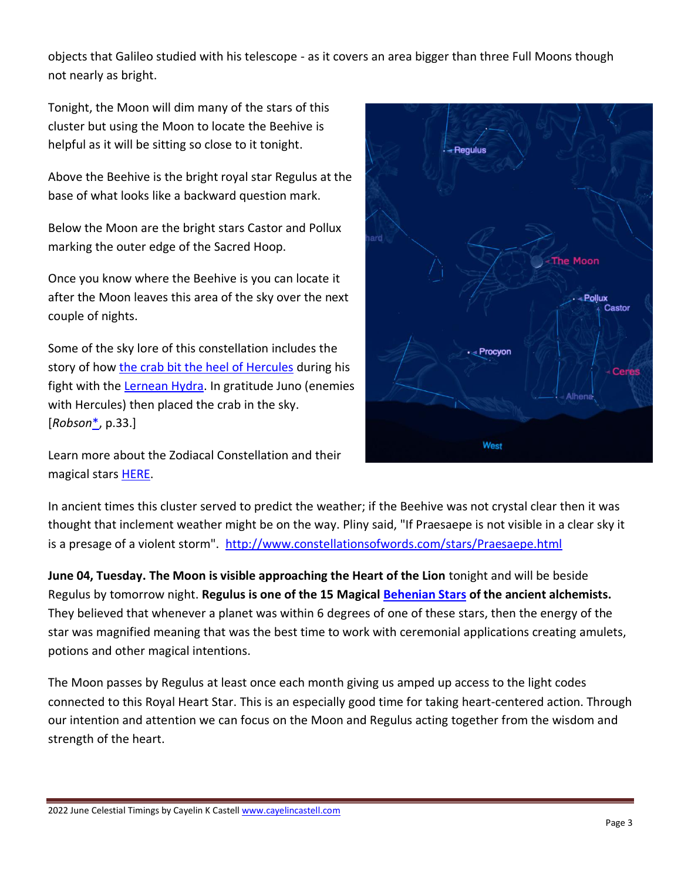objects that Galileo studied with his telescope - as it covers an area bigger than three Full Moons though not nearly as bright.

Tonight, the Moon will dim many of the stars of this cluster but using the Moon to locate the Beehive is helpful as it will be sitting so close to it tonight.

Above the Beehive is the bright royal star Regulus at the base of what looks like a backward question mark.

Below the Moon are the bright stars Castor and Pollux marking the outer edge of the Sacred Hoop.

Once you know where the Beehive is you can locate it after the Moon leaves this area of the sky over the next couple of nights.

Some of the sky lore of this constellation includes the story of how [the crab bit the heel of Hercules](http://www.constellationsofwords.com/Constellations/Hercules.html) during his fight with the [Lernean Hydra.](http://www.constellationsofwords.com/Constellations/Hydra.html) In gratitude Juno (enemies with Hercules) then placed the crab in the sky. [*Robson*[\\*,](http://www.constellationsofwords.com/stars/Praesaepe.html#*) p.33.]

Learn more about the Zodiacal Constellation and their magical stars [HERE.](https://mystaralchemy.com/the-mystery-of-the-zodiacal-constellations/)



In ancient times this cluster served to predict the weather; if the Beehive was not crystal clear then it was thought that inclement weather might be on the way. Pliny said, "If Praesaepe is not visible in a clear sky it is a presage of a violent storm".<http://www.constellationsofwords.com/stars/Praesaepe.html>

**June 04, Tuesday. The Moon is visible approaching the Heart of the Lion** tonight and will be beside Regulus by tomorrow night. **Regulus is one of the 15 Magical [Behenian Stars](http://cayelincastell.com/behenian-stars/) of the ancient alchemists.**  They believed that whenever a planet was within 6 degrees of one of these stars, then the energy of the star was magnified meaning that was the best time to work with ceremonial applications creating amulets, potions and other magical intentions.

The Moon passes by Regulus at least once each month giving us amped up access to the light codes connected to this Royal Heart Star. This is an especially good time for taking heart-centered action. Through our intention and attention we can focus on the Moon and Regulus acting together from the wisdom and strength of the heart.

<sup>2022</sup> June Celestial Timings by Cayelin K Castell [www.cayelincastell.com](http://www.cayelincastell.com/)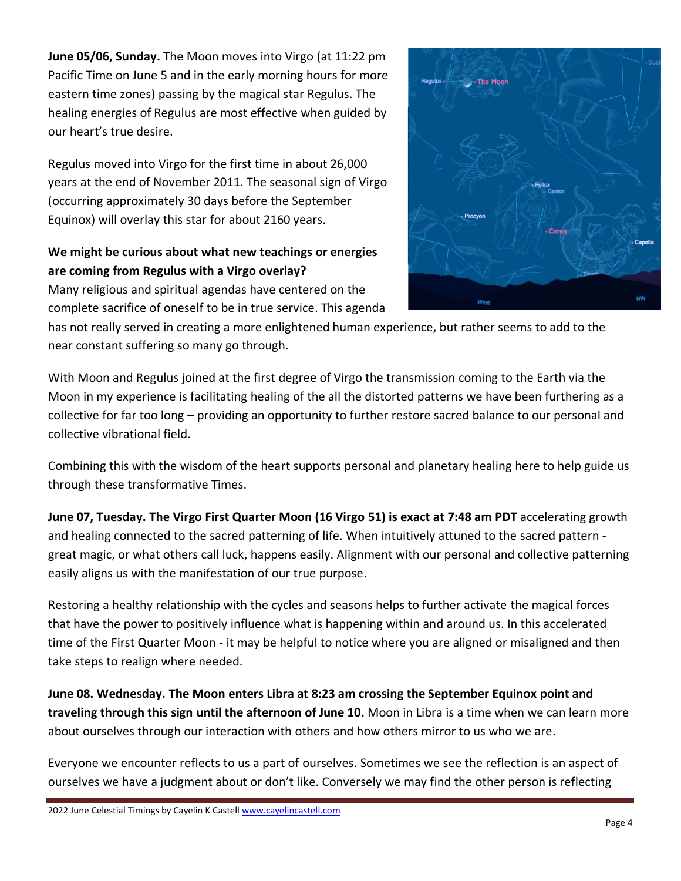**June 05/06, Sunday. T**he Moon moves into Virgo (at 11:22 pm Pacific Time on June 5 and in the early morning hours for more eastern time zones) passing by the magical star Regulus. The healing energies of Regulus are most effective when guided by our heart's true desire.

Regulus moved into Virgo for the first time in about 26,000 years at the end of November 2011. The seasonal sign of Virgo (occurring approximately 30 days before the September Equinox) will overlay this star for about 2160 years.

## **We might be curious about what new teachings or energies are coming from Regulus with a Virgo overlay?**

Many religious and spiritual agendas have centered on the complete sacrifice of oneself to be in true service. This agenda



has not really served in creating a more enlightened human experience, but rather seems to add to the near constant suffering so many go through.

With Moon and Regulus joined at the first degree of Virgo the transmission coming to the Earth via the Moon in my experience is facilitating healing of the all the distorted patterns we have been furthering as a collective for far too long – providing an opportunity to further restore sacred balance to our personal and collective vibrational field.

Combining this with the wisdom of the heart supports personal and planetary healing here to help guide us through these transformative Times.

**June 07, Tuesday. The Virgo First Quarter Moon (16 Virgo 51) is exact at 7:48 am PDT** accelerating growth and healing connected to the sacred patterning of life. When intuitively attuned to the sacred pattern great magic, or what others call luck, happens easily. Alignment with our personal and collective patterning easily aligns us with the manifestation of our true purpose.

Restoring a healthy relationship with the cycles and seasons helps to further activate the magical forces that have the power to positively influence what is happening within and around us. In this accelerated time of the First Quarter Moon - it may be helpful to notice where you are aligned or misaligned and then take steps to realign where needed.

**June 08. Wednesday. The Moon enters Libra at 8:23 am crossing the September Equinox point and traveling through this sign until the afternoon of June 10.** Moon in Libra is a time when we can learn more about ourselves through our interaction with others and how others mirror to us who we are.

Everyone we encounter reflects to us a part of ourselves. Sometimes we see the reflection is an aspect of ourselves we have a judgment about or don't like. Conversely we may find the other person is reflecting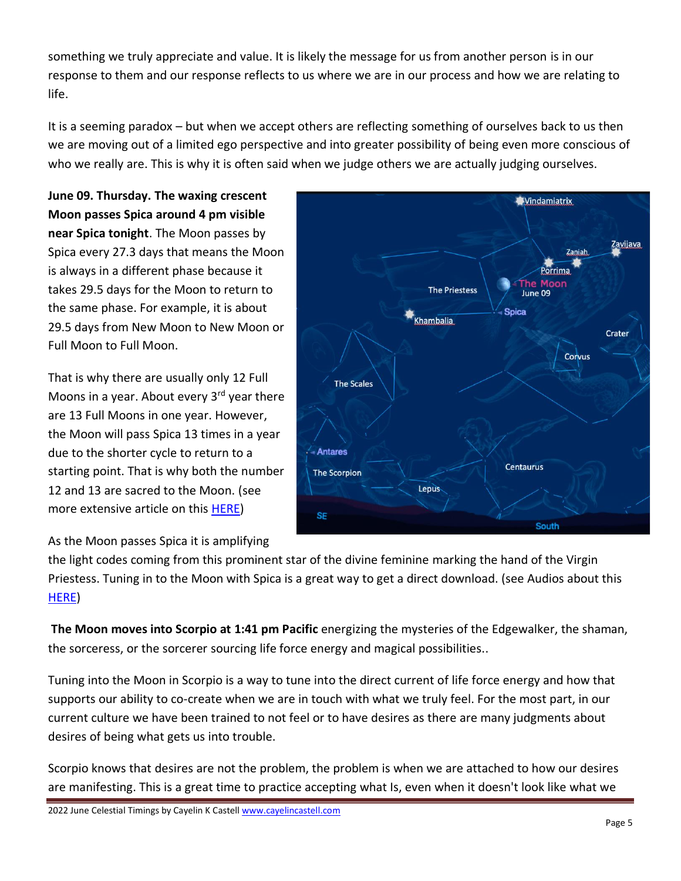something we truly appreciate and value. It is likely the message for us from another person is in our response to them and our response reflects to us where we are in our process and how we are relating to life.

It is a seeming paradox – but when we accept others are reflecting something of ourselves back to us then we are moving out of a limited ego perspective and into greater possibility of being even more conscious of who we really are. This is why it is often said when we judge others we are actually judging ourselves.

**June 09. Thursday. The waxing crescent Moon passes Spica around 4 pm visible near Spica tonight**. The Moon passes by Spica every 27.3 days that means the Moon is always in a different phase because it takes 29.5 days for the Moon to return to the same phase. For example, it is about 29.5 days from New Moon to New Moon or Full Moon to Full Moon.

That is why there are usually only 12 Full Moons in a year. About every  $3<sup>rd</sup>$  year there are 13 Full Moons in one year. However, the Moon will pass Spica 13 times in a year due to the shorter cycle to return to a starting point. That is why both the number 12 and 13 are sacred to the Moon. (see more extensive article on this [HERE\)](http://cayelincastell.com/the-moon-and-blue-moons/)

As the Moon passes Spica it is amplifying



the light codes coming from this prominent star of the divine feminine marking the hand of the Virgin Priestess. Tuning in to the Moon with Spica is a great way to get a direct download. (see Audios about this [HERE\)](http://cayelincastell.com/audio-celestial-timings/)

**The Moon moves into Scorpio at 1:41 pm Pacific** energizing the mysteries of the Edgewalker, the shaman, the sorceress, or the sorcerer sourcing life force energy and magical possibilities..

Tuning into the Moon in Scorpio is a way to tune into the direct current of life force energy and how that supports our ability to co-create when we are in touch with what we truly feel. For the most part, in our current culture we have been trained to not feel or to have desires as there are many judgments about desires of being what gets us into trouble.

Scorpio knows that desires are not the problem, the problem is when we are attached to how our desires are manifesting. This is a great time to practice accepting what Is, even when it doesn't look like what we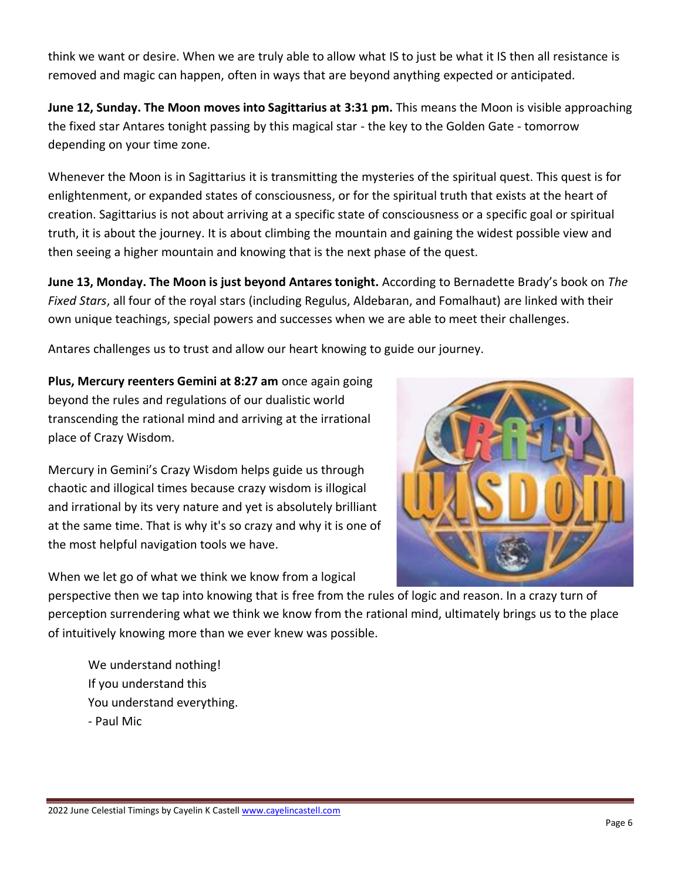think we want or desire. When we are truly able to allow what IS to just be what it IS then all resistance is removed and magic can happen, often in ways that are beyond anything expected or anticipated.

**June 12, Sunday. The Moon moves into Sagittarius at 3:31 pm.** This means the Moon is visible approaching the fixed star Antares tonight passing by this magical star - the key to the Golden Gate - tomorrow depending on your time zone.

Whenever the Moon is in Sagittarius it is transmitting the mysteries of the spiritual quest. This quest is for enlightenment, or expanded states of consciousness, or for the spiritual truth that exists at the heart of creation. Sagittarius is not about arriving at a specific state of consciousness or a specific goal or spiritual truth, it is about the journey. It is about climbing the mountain and gaining the widest possible view and then seeing a higher mountain and knowing that is the next phase of the quest.

**June 13, Monday. The Moon is just beyond Antares tonight.** According to Bernadette Brady's book on *The Fixed Stars*, all four of the royal stars (including Regulus, Aldebaran, and Fomalhaut) are linked with their own unique teachings, special powers and successes when we are able to meet their challenges.

Antares challenges us to trust and allow our heart knowing to guide our journey.

**Plus, Mercury reenters Gemini at 8:27 am** once again going beyond the rules and regulations of our dualistic world transcending the rational mind and arriving at the irrational place of Crazy Wisdom.

Mercury in Gemini's Crazy Wisdom helps guide us through chaotic and illogical times because crazy wisdom is illogical and irrational by its very nature and yet is absolutely brilliant at the same time. That is why it's so crazy and why it is one of the most helpful navigation tools we have.

When we let go of what we think we know from a logical



perspective then we tap into knowing that is free from the rules of logic and reason. In a crazy turn of perception surrendering what we think we know from the rational mind, ultimately brings us to the place of intuitively knowing more than we ever knew was possible.

We understand nothing! If you understand this You understand everything. - Paul Mic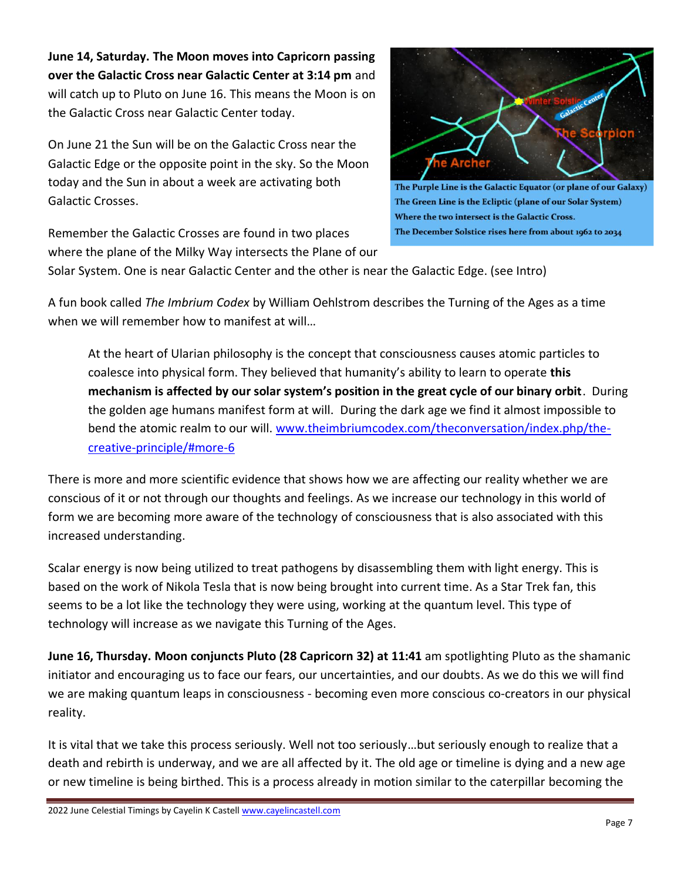**June 14, Saturday. The Moon moves into Capricorn passing over the Galactic Cross near Galactic Center at 3:14 pm** and will catch up to Pluto on June 16. This means the Moon is on the Galactic Cross near Galactic Center today.

On June 21 the Sun will be on the Galactic Cross near the Galactic Edge or the opposite point in the sky. So the Moon today and the Sun in about a week are activating both Galactic Crosses.

Remember the Galactic Crosses are found in two places where the plane of the Milky Way intersects the Plane of our



The Purple Line is the Galactic Equator (or plane of our Galaxy) The Green Line is the Ecliptic (plane of our Solar System) Where the two intersect is the Galactic Cross. The December Solstice rises here from about 1962 to 2034

Solar System. One is near Galactic Center and the other is near the Galactic Edge. (see Intro)

A fun book called *The Imbrium Codex* by William Oehlstrom describes the Turning of the Ages as a time when we will remember how to manifest at will...

At the heart of Ularian philosophy is the concept that consciousness causes atomic particles to coalesce into physical form. They believed that humanity's ability to learn to operate **this mechanism is affected by our solar system's position in the great cycle of our binary orbit**. During the golden age humans manifest form at will. During the dark age we find it almost impossible to bend the atomic realm to our will. [www.theimbriumcodex.com/theconversation/index.php/the](http://www.theimbriumcodex.com/theconversation/index.php/the-creative-principle/#more-6)[creative-principle/#more-6](http://www.theimbriumcodex.com/theconversation/index.php/the-creative-principle/#more-6)

There is more and more scientific evidence that shows how we are affecting our reality whether we are conscious of it or not through our thoughts and feelings. As we increase our technology in this world of form we are becoming more aware of the technology of consciousness that is also associated with this increased understanding.

Scalar energy is now being utilized to treat pathogens by disassembling them with light energy. This is based on the work of Nikola Tesla that is now being brought into current time. As a Star Trek fan, this seems to be a lot like the technology they were using, working at the quantum level. This type of technology will increase as we navigate this Turning of the Ages.

**June 16, Thursday. Moon conjuncts Pluto (28 Capricorn 32) at 11:41** am spotlighting Pluto as the shamanic initiator and encouraging us to face our fears, our uncertainties, and our doubts. As we do this we will find we are making quantum leaps in consciousness - becoming even more conscious co-creators in our physical reality.

It is vital that we take this process seriously. Well not too seriously…but seriously enough to realize that a death and rebirth is underway, and we are all affected by it. The old age or timeline is dying and a new age or new timeline is being birthed. This is a process already in motion similar to the caterpillar becoming the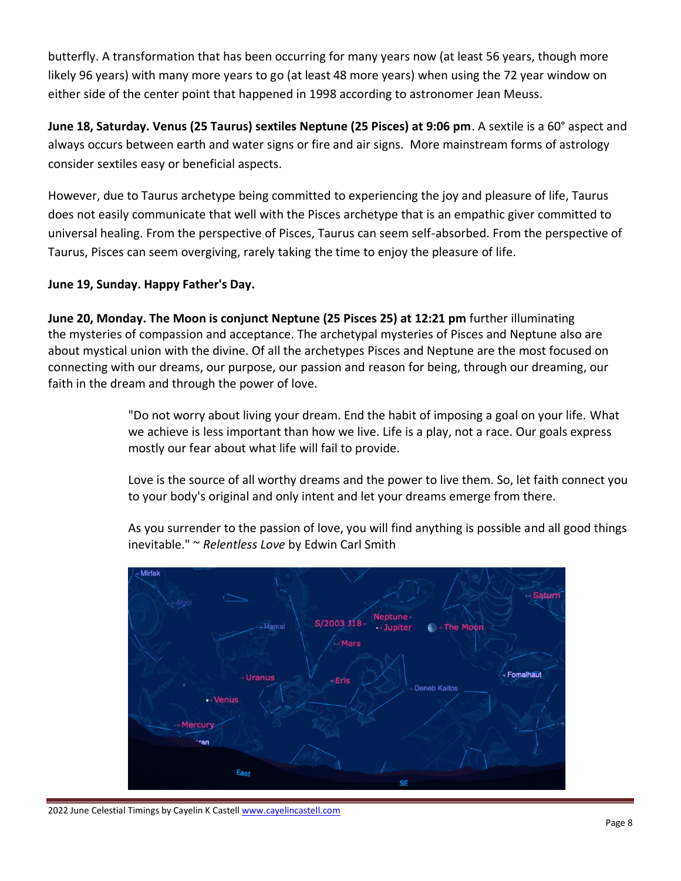butterfly. A transformation that has been occurring for many years now (at least 56 years, though more likely 96 years) with many more years to go (at least 48 more years) when using the 72 year window on either side of the center point that happened in 1998 according to astronomer Jean Meuss.

**June 18, Saturday. Venus (25 Taurus) sextiles Neptune (25 Pisces) at 9:06 pm**. A sextile is a 60° aspect and always occurs between earth and water signs or fire and air signs. More mainstream forms of astrology consider sextiles easy or beneficial aspects.

However, due to Taurus archetype being committed to experiencing the joy and pleasure of life, Taurus does not easily communicate that well with the Pisces archetype that is an empathic giver committed to universal healing. From the perspective of Pisces, Taurus can seem self-absorbed. From the perspective of Taurus, Pisces can seem overgiving, rarely taking the time to enjoy the pleasure of life.

#### **June 19, Sunday. Happy Father's Day.**

**June 20, Monday. The Moon is conjunct Neptune (25 Pisces 25) at 12:21 pm** further illuminating the mysteries of compassion and acceptance. The archetypal mysteries of Pisces and Neptune also are about mystical union with the divine. Of all the archetypes Pisces and Neptune are the most focused on connecting with our dreams, our purpose, our passion and reason for being, through our dreaming, our faith in the dream and through the power of love.

> "Do not worry about living your dream. End the habit of imposing a goal on your life. What we achieve is less important than how we live. Life is a play, not a race. Our goals express mostly our fear about what life will fail to provide.

Love is the source of all worthy dreams and the power to live them. So, let faith connect you to your body's original and only intent and let your dreams emerge from there.

As you surrender to the passion of love, you will find anything is possible and all good things inevitable." ~ *Relentless Love* by Edwin Carl Smith

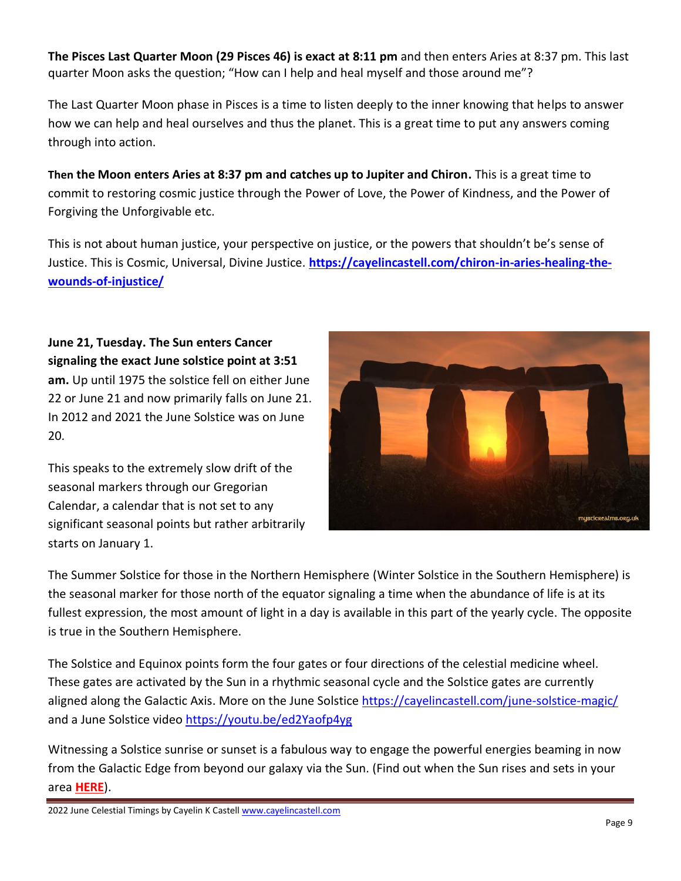**The Pisces Last Quarter Moon (29 Pisces 46) is exact at 8:11 pm** and then enters Aries at 8:37 pm. This last quarter Moon asks the question; "How can I help and heal myself and those around me"?

The Last Quarter Moon phase in Pisces is a time to listen deeply to the inner knowing that helps to answer how we can help and heal ourselves and thus the planet. This is a great time to put any answers coming through into action.

**Then the Moon enters Aries at 8:37 pm and catches up to Jupiter and Chiron.** This is a great time to commit to restoring cosmic justice through the Power of Love, the Power of Kindness, and the Power of Forgiving the Unforgivable etc.

This is not about human justice, your perspective on justice, or the powers that shouldn't be's sense of Justice. This is Cosmic, Universal, Divine Justice. **[https://cayelincastell.com/chiron-in-aries-healing-the](https://cayelincastell.com/chiron-in-aries-healing-the-wounds-of-injustice/)[wounds-of-injustice/](https://cayelincastell.com/chiron-in-aries-healing-the-wounds-of-injustice/)** 

**June 21, Tuesday. The Sun enters Cancer signaling the exact June solstice point at 3:51 am.** Up until 1975 the solstice fell on either June 22 or June 21 and now primarily falls on June 21. In 2012 and 2021 the June Solstice was on June 20.

This speaks to the extremely slow drift of the seasonal markers through our Gregorian Calendar, a calendar that is not set to any significant seasonal points but rather arbitrarily starts on January 1.



The Summer Solstice for those in the Northern Hemisphere (Winter Solstice in the Southern Hemisphere) is the seasonal marker for those north of the equator signaling a time when the abundance of life is at its fullest expression, the most amount of light in a day is available in this part of the yearly cycle. The opposite is true in the Southern Hemisphere.

The Solstice and Equinox points form the four gates or four directions of the celestial medicine wheel. These gates are activated by the Sun in a rhythmic seasonal cycle and the Solstice gates are currently aligned along the Galactic Axis. More on the June Solstice<https://cayelincastell.com/june-solstice-magic/> and a June Solstice video<https://youtu.be/ed2Yaofp4yg>

Witnessing a Solstice sunrise or sunset is a fabulous way to engage the powerful energies beaming in now from the Galactic Edge from beyond our galaxy via the Sun. (Find out when the Sun rises and sets in your area **[HERE](https://www.timeanddate.com/sun/)**).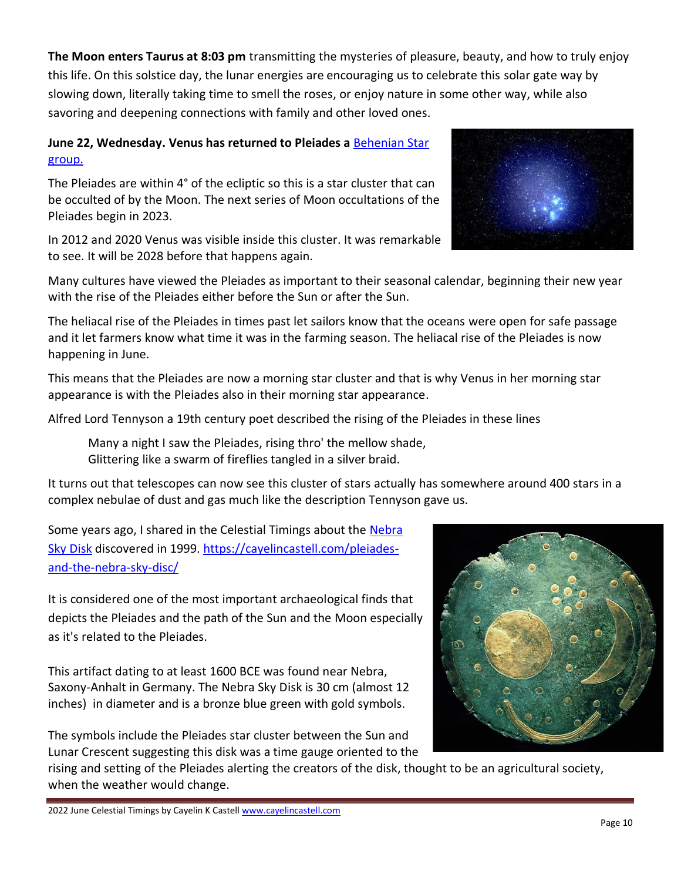**The Moon enters Taurus at 8:03 pm** transmitting the mysteries of pleasure, beauty, and how to truly enjoy this life. On this solstice day, the lunar energies are encouraging us to celebrate this solar gate way by slowing down, literally taking time to smell the roses, or enjoy nature in some other way, while also savoring and deepening connections with family and other loved ones.

## **June 22, Wednesday. Venus has returned to Pleiades a** [Behenian Star](http://cayelincastell.com/behenian-stars/) group.

The Pleiades are within 4° of the ecliptic so this is a star cluster that can be occulted of by the Moon. The next series of Moon occultations of the Pleiades begin in 2023.

In 2012 and 2020 Venus was visible inside this cluster. It was remarkable to see. It will be 2028 before that happens again.

Many cultures have viewed the Pleiades as important to their seasonal calendar, beginning their new year with the rise of the Pleiades either before the Sun or after the Sun.

The heliacal rise of the Pleiades in times past let sailors know that the oceans were open for safe passage and it let farmers know what time it was in the farming season. The heliacal rise of the Pleiades is now happening in June.

This means that the Pleiades are now a morning star cluster and that is why Venus in her morning star appearance is with the Pleiades also in their morning star appearance.

Alfred Lord Tennyson a 19th century poet described the rising of the Pleiades in these lines

Many a night I saw the Pleiades, rising thro' the mellow shade, Glittering like a swarm of fireflies tangled in a silver braid.

It turns out that telescopes can now see this cluster of stars actually has somewhere around 400 stars in a complex nebulae of dust and gas much like the description Tennyson gave us.

Some years ago, I shared in the Celestial Timings about the Nebra [Sky Disk](http://www.lda-lsa.de/en/nebra_sky_disc/) discovered in 1999. [https://cayelincastell.com/pleiades](https://cayelincastell.com/pleiades-and-the-nebra-sky-disc/)[and-the-nebra-sky-disc/](https://cayelincastell.com/pleiades-and-the-nebra-sky-disc/)

It is considered one of the most important archaeological finds that depicts the Pleiades and the path of the Sun and the Moon especially as it's related to the Pleiades.

This artifact dating to at least 1600 BCE was found near Nebra, Saxony-Anhalt in Germany. The Nebra Sky Disk is 30 cm (almost 12 inches) in diameter and is a bronze blue green with gold symbols.

The symbols include the Pleiades star cluster between the Sun and Lunar Crescent suggesting this disk was a time gauge oriented to the

rising and setting of the Pleiades alerting the creators of the disk, thought to be an agricultural society, when the weather would change.



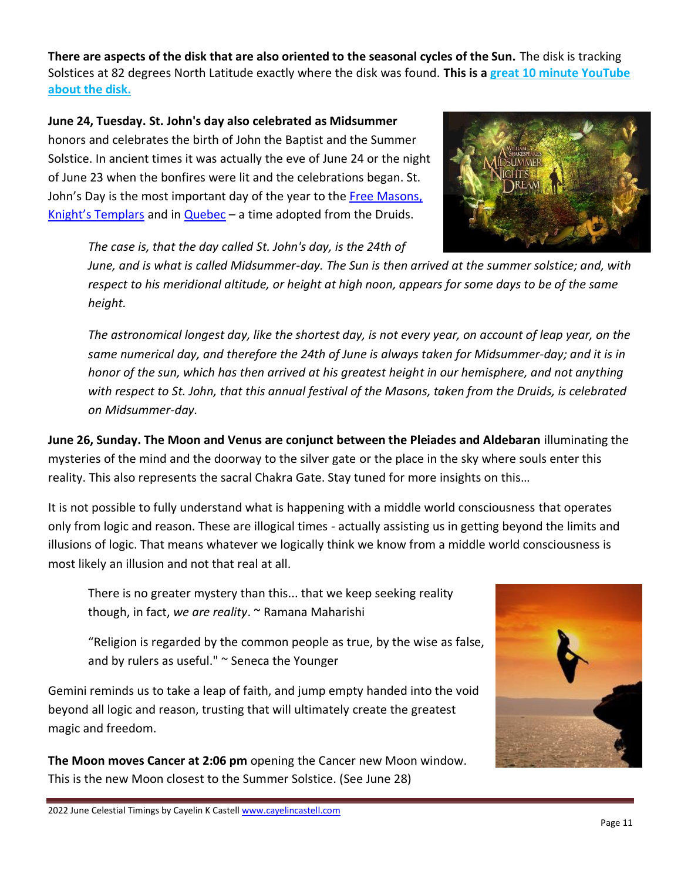**There are aspects of the disk that are also oriented to the seasonal cycles of the Sun.** The disk is tracking Solstices at 82 degrees North Latitude exactly where the disk was found. **This is a [great 10 minute YouTube](https://youtu.be/qkw_BiC9wQE)  [about the disk.](https://youtu.be/qkw_BiC9wQE)**

**June 24, Tuesday. St. John's day also celebrated as Midsummer** honors and celebrates the birth of John the Baptist and the Summer Solstice. In ancient times it was actually the eve of June 24 or the night of June 23 when the bonfires were lit and the celebrations began. St. John's Day is the most important day of the year to the Free Masons, [Knight's Templars](http://www.northernway.org/mysteryschool/summersolsticemeaning/) and in [Quebec](https://www.republiquelibre.org/cousture/STJEAN2.HTM) – a time adopted from the Druids.



*The case is, that the day called St. John's day, is the 24th of* 

*June, and is what is called Midsummer-day. The Sun is then arrived at the summer solstice; and, with respect to his meridional altitude, or height at high noon, appears for some days to be of the same height.* 

*The astronomical longest day, like the shortest day, is not every year, on account of leap year, on the same numerical day, and therefore the 24th of June is always taken for Midsummer-day; and it is in honor of the sun, which has then arrived at his greatest height in our hemisphere, and not anything with respect to St. John, that this annual festival of the Masons, taken from the Druids, is celebrated on Midsummer-day.*

**June 26, Sunday. The Moon and Venus are conjunct between the Pleiades and Aldebaran** illuminating the mysteries of the mind and the doorway to the silver gate or the place in the sky where souls enter this reality. This also represents the sacral Chakra Gate. Stay tuned for more insights on this…

It is not possible to fully understand what is happening with a middle world consciousness that operates only from logic and reason. These are illogical times - actually assisting us in getting beyond the limits and illusions of logic. That means whatever we logically think we know from a middle world consciousness is most likely an illusion and not that real at all.

There is no greater mystery than this... that we keep seeking reality though, in fact, *we are reality*. ~ Ramana Maharishi

"Religion is regarded by the common people as true, by the wise as false, and by rulers as useful."  $\sim$  Seneca the Younger

Gemini reminds us to take a leap of faith, and jump empty handed into the void beyond all logic and reason, trusting that will ultimately create the greatest magic and freedom.

**The Moon moves Cancer at 2:06 pm** opening the Cancer new Moon window. This is the new Moon closest to the Summer Solstice. (See June 28)